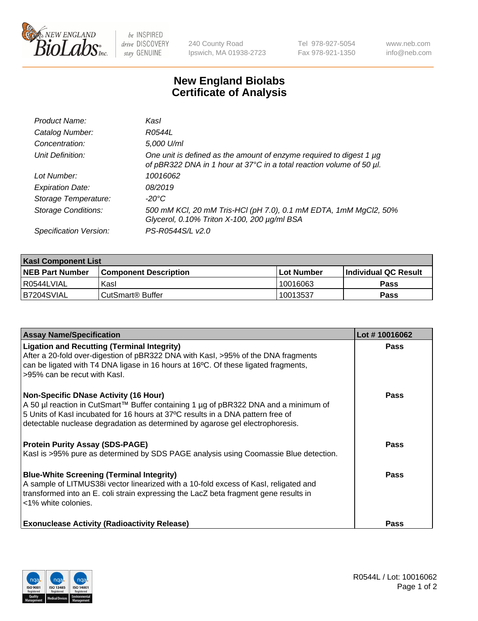

 $be$  INSPIRED drive DISCOVERY stay GENUINE

240 County Road Ipswich, MA 01938-2723 Tel 978-927-5054 Fax 978-921-1350 www.neb.com info@neb.com

## **New England Biolabs Certificate of Analysis**

| Product Name:              | Kasl                                                                                                                                             |
|----------------------------|--------------------------------------------------------------------------------------------------------------------------------------------------|
| Catalog Number:            | R0544L                                                                                                                                           |
| Concentration:             | 5,000 U/ml                                                                                                                                       |
| Unit Definition:           | One unit is defined as the amount of enzyme required to digest 1 $\mu$ g<br>of pBR322 DNA in 1 hour at 37°C in a total reaction volume of 50 µl. |
| Lot Number:                | 10016062                                                                                                                                         |
| <b>Expiration Date:</b>    | 08/2019                                                                                                                                          |
| Storage Temperature:       | -20°C                                                                                                                                            |
| <b>Storage Conditions:</b> | 500 mM KCl, 20 mM Tris-HCl (pH 7.0), 0.1 mM EDTA, 1mM MgCl2, 50%<br>Glycerol, 0.10% Triton X-100, 200 µg/ml BSA                                  |
| Specification Version:     | PS-R0544S/L v2.0                                                                                                                                 |

| <b>Kasl Component List</b> |                         |              |                             |  |  |
|----------------------------|-------------------------|--------------|-----------------------------|--|--|
| <b>NEB Part Number</b>     | l Component Description | l Lot Number | <b>Individual QC Result</b> |  |  |
| I R0544LVIAL               | Kasl                    | 10016063     | Pass                        |  |  |
| IB7204SVIAL                | l CutSmart® Buffer_     | 10013537     | Pass                        |  |  |

| <b>Assay Name/Specification</b>                                                                                                                                                                                                                                                                         | Lot #10016062 |
|---------------------------------------------------------------------------------------------------------------------------------------------------------------------------------------------------------------------------------------------------------------------------------------------------------|---------------|
| <b>Ligation and Recutting (Terminal Integrity)</b><br>After a 20-fold over-digestion of pBR322 DNA with Kasl, >95% of the DNA fragments<br>can be ligated with T4 DNA ligase in 16 hours at 16°C. Of these ligated fragments,<br>>95% can be recut with Kasl.                                           | Pass          |
| <b>Non-Specific DNase Activity (16 Hour)</b><br>A 50 µl reaction in CutSmart™ Buffer containing 1 µg of pBR322 DNA and a minimum of<br>5 Units of Kasl incubated for 16 hours at 37°C results in a DNA pattern free of<br>detectable nuclease degradation as determined by agarose gel electrophoresis. | <b>Pass</b>   |
| <b>Protein Purity Assay (SDS-PAGE)</b><br>Kasl is >95% pure as determined by SDS PAGE analysis using Coomassie Blue detection.                                                                                                                                                                          | <b>Pass</b>   |
| <b>Blue-White Screening (Terminal Integrity)</b><br>A sample of LITMUS38i vector linearized with a 10-fold excess of Kasl, religated and<br>transformed into an E. coli strain expressing the LacZ beta fragment gene results in<br><1% white colonies.                                                 | Pass          |
| <b>Exonuclease Activity (Radioactivity Release)</b>                                                                                                                                                                                                                                                     | <b>Pass</b>   |